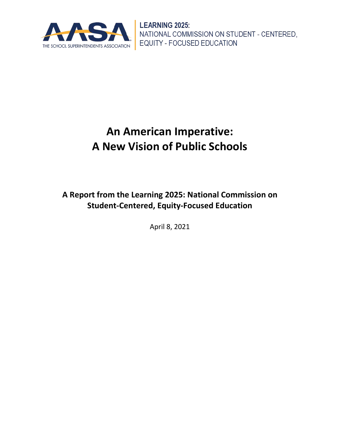

# **An American Imperative: A New Vision of Public Schools**

**A Report from the Learning 2025: National Commission on Student-Centered, Equity-Focused Education**

April 8, 2021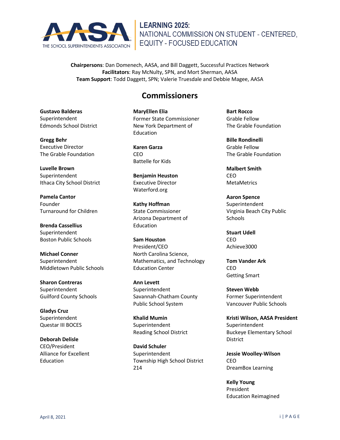

**Chairpersons**: Dan Domenech, AASA, and Bill Daggett, Successful Practices Network **Facilitators**: Ray McNulty, SPN, and Mort Sherman, AASA **Team Support**: Todd Daggett, SPN; Valerie Truesdale and Debbie Magee, AASA

### **Commissioners**

**Gustavo Balderas** Superintendent Edmonds School District

**Gregg Behr** Executive Director The Grable Foundation

**Luvelle Brown** Superintendent Ithaca City School District

**Pamela Cantor** Founder Turnaround for Children

**Brenda Cassellius** Superintendent Boston Public Schools

**Michael Conner** Superintendent Middletown Public Schools

**Sharon Contreras** Superintendent Guilford County Schools

**Gladys Cruz** Superintendent Questar III BOCES

**Deborah Delisle** CEO/President Alliance for Excellent Education

**MaryEllen Elia** Former State Commissioner New York Department of Education

**Karen Garza** CEO Battelle for Kids

**Benjamin Heuston** Executive Director Waterford.org

**Kathy Hoffman** State Commissioner Arizona Department of Education

**Sam Houston** President/CEO North Carolina Science, Mathematics, and Technology Education Center

**Ann Levett** Superintendent Savannah-Chatham County Public School System

**Khalid Mumin** Superintendent Reading School District

**David Schuler Superintendent** Township High School District 214

**Bart Rocco** Grable Fellow The Grable Foundation

**Bille Rondinelli** Grable Fellow The Grable Foundation

**Malbert Smith CEO** MetaMetrics

**Aaron Spence** Superintendent Virginia Beach City Public Schools

**Stuart Udell** CEO Achieve3000

**Tom Vander Ark** CEO Getting Smart

**Steven Webb** Former Superintendent Vancouver Public Schools

**Kristi Wilson, AASA President** Superintendent Buckeye Elementary School District

**Jessie Woolley-Wilson** CEO DreamBox Learning

**Kelly Young** President Education Reimagined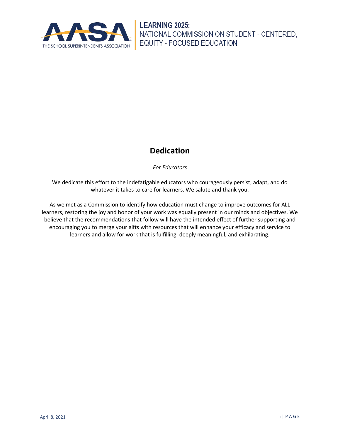

# **Dedication**

*For Educators*

We dedicate this effort to the indefatigable educators who courageously persist, adapt, and do whatever it takes to care for learners. We salute and thank you.

As we met as a Commission to identify how education must change to improve outcomes for ALL learners, restoring the joy and honor of your work was equally present in our minds and objectives. We believe that the recommendations that follow will have the intended effect of further supporting and encouraging you to merge your gifts with resources that will enhance your efficacy and service to learners and allow for work that is fulfilling, deeply meaningful, and exhilarating.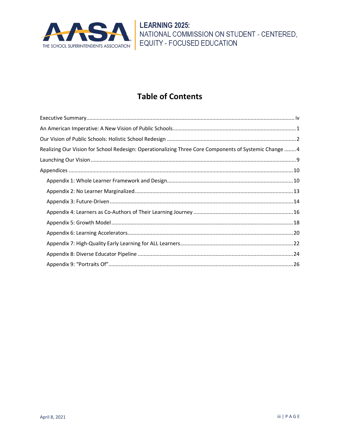

# **Table of Contents**

| Realizing Our Vision for School Redesign: Operationalizing Three Core Components of Systemic Change  4 |  |
|--------------------------------------------------------------------------------------------------------|--|
|                                                                                                        |  |
|                                                                                                        |  |
|                                                                                                        |  |
|                                                                                                        |  |
|                                                                                                        |  |
|                                                                                                        |  |
|                                                                                                        |  |
|                                                                                                        |  |
|                                                                                                        |  |
|                                                                                                        |  |
|                                                                                                        |  |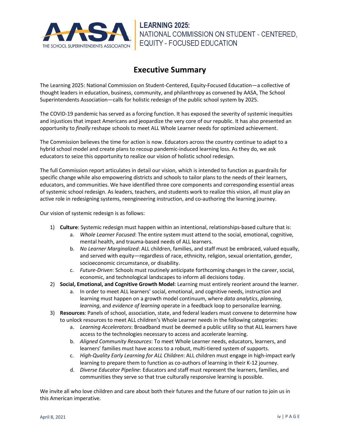

### **Executive Summary**

<span id="page-4-0"></span>The Learning 2025: National Commission on Student-Centered, Equity-Focused Education—a collective of thought leaders in education, business, community, and philanthropy as convened by AASA, The School Superintendents Association—calls for holistic redesign of the public school system by 2025.

The COVID-19 pandemic has served as a forcing function. It has exposed the severity of systemic inequities and injustices that impact Americans and jeopardize the very core of our republic. It has also presented an opportunity to *finally* reshape schools to meet ALL Whole Learner needs for optimized achievement.

The Commission believes the time for action is now. Educators across the country continue to adapt to a hybrid school model and create plans to recoup pandemic-induced learning loss. As they do, we ask educators to seize this opportunity to realize our vision of holistic school redesign.

The full Commission report articulates in detail our vision, which is intended to function as guardrails for specific change while also empowering districts and schools to tailor plans to the needs of their learners, educators, and communities. We have identified three core components and corresponding essential areas of systemic school redesign. As leaders, teachers, and students work to realize this vision, all must play an active role in redesigning systems, reengineering instruction, and co-authoring the learning journey.

Our vision of systemic redesign is as follows:

- 1) **Culture**: Systemic redesign must happen within an intentional, relationships-based culture that is:
	- a. *Whole Learner Focused*: The entire system must attend to the social, emotional, cognitive, mental health, and trauma-based needs of ALL learners.
	- b. *No Learner Marginalized*: ALL children, families, and staff must be embraced, valued equally, and served with equity—regardless of race, ethnicity, religion, sexual orientation, gender, socioeconomic circumstance, or disability.
	- c. *Future-Driven*: Schools must routinely anticipate forthcoming changes in the career, social, economic, and technological landscapes to inform all decisions today.
- 2) **Social, Emotional, and Cognitive Growth Model**: Learning must entirely reorient around the learner.
	- a. In order to meet ALL learners' social, emotional, and cognitive needs, instruction and learning must happen on a growth model continuum, where *data analytics*, *planning*, *learning*, and *evidence of learning* operate in a feedback loop to personalize learning.
- 3) **Resources**: Panels of school, association, state, and federal leaders must convene to determine how to unlock resources to meet ALL children's Whole Learner needs in the following categories:
	- a. *Learning Accelerators*: Broadband must be deemed a public utility so that ALL learners have access to the technologies necessary to access and accelerate learning.
	- b. *Aligned Community Resources*: To meet Whole Learner needs, educators, learners, and learners' families must have access to a robust, multi-tiered system of supports.
	- c. *High-Quality Early Learning for ALL Children*: ALL children must engage in high-impact early learning to prepare them to function as co-authors of learning in their K-12 journey.
	- d. *Diverse Educator Pipeline*: Educators and staff must represent the learners, families, and communities they serve so that true culturally responsive learning is possible.

We invite all who love children and care about both their futures and the future of our nation to join us in this American imperative.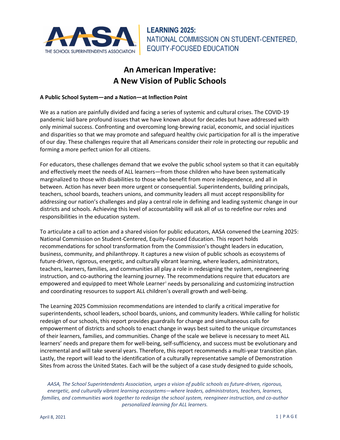<span id="page-5-0"></span>

# **An American Imperative: A New Vision of Public Schools**

#### **A Public School System—and a Nation—at Inflection Point**

We as a nation are painfully divided and facing a series of systemic and cultural crises. The COVID-19 pandemic laid bare profound issues that we have known about for decades but have addressed with only minimal success. Confronting and overcoming long-brewing racial, economic, and social injustices and disparities so that we may promote and safeguard healthy civic participation for all is the imperative of our day. These challenges require that all Americans consider their role in protecting our republic and forming a more perfect union for all citizens.

For educators, these challenges demand that we evolve the public school system so that it can equitably and effectively meet the needs of ALL learners—from those children who have been systematically marginalized to those with disabilities to those who benefit from more independence, and all in between. Action has never been more urgent or consequential. Superintendents, building principals, teachers, school boards, teachers unions, and community leaders all must accept responsibility for addressing our nation's challenges and play a central role in defining and leading systemic change in our districts and schools. Achieving this level of accountability will ask all of us to redefine our roles and responsibilities in the education system.

To articulate a call to action and a shared vision for public educators, AASA convened the Learning 2025: National Commission on Student-Centered, Equity-Focused Education. This report holds recommendations for school transformation from the Commission's thought leaders in education, business, community, and philanthropy. It captures a new vision of public schools as ecosystems of future-driven, rigorous, energetic, and culturally vibrant learning, where leaders, administrators, teachers, learners, families, and communities all play a role in redesigning the system, reengineering instruction, and co-authoring the learning journey. The recommendations require that educators are empowered and equ[i](#page-32-0)pped to meet Whole Learner<sup>i</sup> needs by personalizing and customizing instruction and coordinating resources to support ALL children's overall growth and well-being.

The Learning 2025 Commission recommendations are intended to clarify a critical imperative for superintendents, school leaders, school boards, unions, and community leaders. While calling for holistic redesign of our schools, this report provides guardrails for change and simultaneous calls for empowerment of districts and schools to enact change in ways best suited to the unique circumstances of their learners, families, and communities. Change of the scale we believe is necessary to meet ALL learners' needs and prepare them for well-being, self-sufficiency, and success must be evolutionary and incremental and will take several years. Therefore, this report recommends a multi-year transition plan. Lastly, the report will lead to the identification of a culturally representative sample of Demonstration Sites from across the United States. Each will be the subject of a case study designed to guide schools,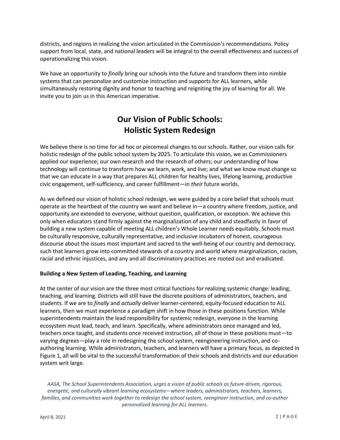districts, and regions in realizing the vision articulated in the Commission's recommendations. Policy support from local, state, and national leaders will be integral to the overall effectiveness and success of operationalizing this vision.

We have an opportunity to *finally* bring our schools into the future and transform them into nimble systems that can personalize and customize instruction and supports for ALL learners, while simultaneously restoring dignity and honor to teaching and reigniting the joy of learning for all. We invite you to join us in this American imperative.

# **Our Vision of Public Schools: Holistic System Redesign**

<span id="page-6-0"></span>We believe there is no time for ad hoc or piecemeal changes to our schools. Rather, our vision calls for holistic redesign of the public school system by 2025. To articulate this vision, we as Commissioners applied our experience; our own research and the research of others; our understanding of how technology will continue to transform how we learn, work, and live; and what we know must change so that we can educate in a way that prepares ALL children for healthy lives, lifelong learning, productive civic engagement, self-sufficiency, and career fulfillment—in *their* future worlds.

As we defined our vision of holistic school redesign, we were guided by a core belief that schools must operate as the heartbeat of the country we want and believe in—a country where freedom, justice, and opportunity are extended to everyone, without question, qualification, or exception. We achieve this only when educators stand firmly against the marginalization of any child and steadfastly in favor of building a new system capable of meeting ALL children's Whole Learner needs equitably. Schools must be culturally responsive, culturally representative, and inclusive incubators of honest, courageous discourse about the issues most important and sacred to the well-being of our country and democracy, such that learners grow into committed stewards of a country and world where marginalization, racism, racial and ethnic injustices, and any and all discriminatory practices are rooted out and eradicated.

#### **Building a New System of Leading, Teaching, and Learning**

At the center of our vision are the three most critical functions for realizing systemic change: leading, teaching, and learning. Districts will still have the discrete positions of administrators, teachers, and students. If we are to *finally* and *actually* deliver learner-centered, equity-focused education to ALL learners, then we must experience a paradigm shift in how those in these positions function. While superintendents maintain the lead responsibility for systemic redesign, everyone in the learning ecosystem must lead, teach, and learn. Specifically, where administrators once managed and led, teachers once taught, and students once received instruction, all of those in these positions must—to varying degrees—play a role in redesigning the school system, reengineering instruction, and coauthoring learning. While administrators, teachers, and learners will have a primary focus, as depicted in Figure 1, all will be vital to the successful transformation of their schools and districts and our education system writ large.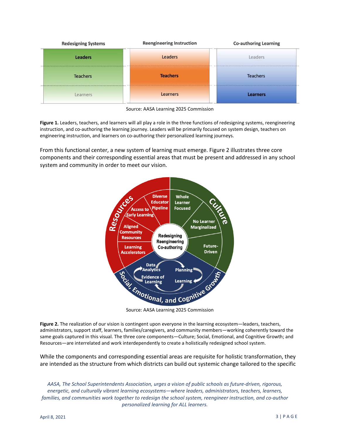

Source: AASA Learning 2025 Commission

**Figure 1.** Leaders, teachers, and learners will all play a role in the three functions of redesigning systems, reengineering instruction, and co-authoring the learning journey. Leaders will be primarily focused on system design, teachers on engineering instruction, and learners on co-authoring their personalized learning journeys.

From this functional center, a new system of learning must emerge. Figure 2 illustrates three core components and their corresponding essential areas that must be present and addressed in any school system and community in order to meet our vision.



**Figure 2.** The realization of our vision is contingent upon everyone in the learning ecosystem—leaders, teachers, administrators, support staff, learners, families/caregivers, and community members—working coherently toward the same goals captured in this visual. The three core components—Culture; Social, Emotional, and Cognitive Growth; and Resources—are interrelated and work interdependently to create a holistically redesigned school system.

While the components and corresponding essential areas are requisite for holistic transformation, they are intended as the structure from which districts can build out systemic change tailored to the specific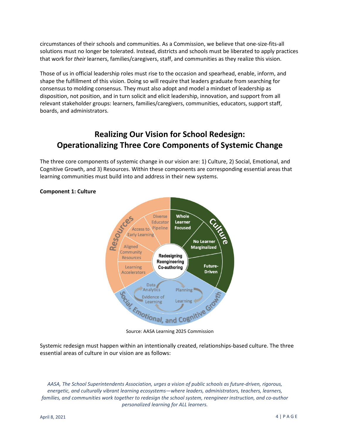circumstances of their schools and communities. As a Commission, we believe that one-size-fits-all solutions must no longer be tolerated. Instead, districts and schools must be liberated to apply practices that work for *their* learners, families/caregivers, staff, and communities as they realize this vision.

Those of us in official leadership roles must rise to the occasion and spearhead, enable, inform, and shape the fulfillment of this vision. Doing so will require that leaders graduate from searching for consensus to molding consensus. They must also adopt and model a mindset of leadership as disposition, not position, and in turn solicit and elicit leadership, innovation, and support from all relevant stakeholder groups: learners, families/caregivers, communities, educators, support staff, boards, and administrators.

# <span id="page-8-0"></span>**Realizing Our Vision for School Redesign: Operationalizing Three Core Components of Systemic Change**

The three core components of systemic change in our vision are: 1) Culture, 2) Social, Emotional, and Cognitive Growth, and 3) Resources. Within these components are corresponding essential areas that learning communities must build into and address in their new systems.



#### **Component 1: Culture**

Source: AASA Learning 2025 Commission

Systemic redesign must happen within an intentionally created, relationships-based culture. The three essential areas of culture in our vision are as follows: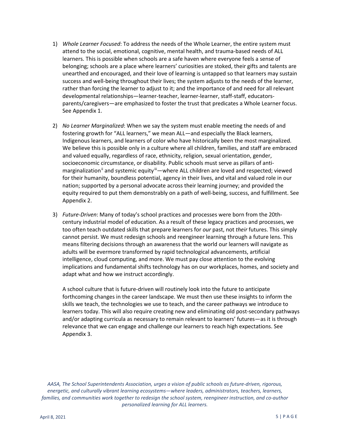- 1) *Whole Learner Focused*: To address the needs of the Whole Learner, the entire system must attend to the social, emotional, cognitive, mental health, and trauma-based needs of ALL learners. This is possible when schools are a safe haven where everyone feels a sense of belonging; schools are a place where learners' curiosities are stoked, their gifts and talents are unearthed and encouraged, and their love of learning is untapped so that learners may sustain success and well-being throughout their lives; the system adjusts to the needs of the learner, rather than forcing the learner to adjust to it; and the importance of and need for all relevant developmental relationships—learner-teacher, learner-learner, staff-staff, educatorsparents/caregivers—are emphasized to foster the trust that predicates a Whole Learner focus. See Appendix 1.
- 2) *No Learner Marginalized*: When we say the system must enable meeting the needs of and fostering growth for "ALL learners," we mean ALL—and especially the Black learners, Indigenous learners, and learners of color who have historically been the most marginalized. We believe this is possible only in a culture where all children, families, and staff are embraced and valued equally, regardless of race, ethnicity, religion, sexual orientation, gender, socioeconomic circumstance, or disability. Public schools must serve as pillars of antimarginalization<sup>[ii](#page-32-1)</sup> and systemic equity<sup>iii</sup>—where ALL children are loved and respected; viewed for their humanity, boundless potential, agency in their lives, and vital and valued role in our nation; supported by a personal advocate across their learning journey; and provided the equity required to put them demonstrably on a path of well-being, success, and fulfillment. See Appendix 2.
- 3) *Future-Driven*: Many of today's school practices and processes were born from the 20thcentury industrial model of education. As a result of these legacy practices and processes, we too often teach outdated skills that prepare learners for *our* past, not *their* futures. This simply cannot persist. We must redesign schools and reengineer learning through a future lens. This means filtering decisions through an awareness that the world our learners will navigate as adults will be evermore transformed by rapid technological advancements, artificial intelligence, cloud computing, and more. We must pay close attention to the evolving implications and fundamental shifts technology has on our workplaces, homes, and society and adapt what and how we instruct accordingly.

A school culture that is future-driven will routinely look into the future to anticipate forthcoming changes in the career landscape. We must then use these insights to inform the skills we teach, the technologies we use to teach, and the career pathways we introduce to learners today. This will also require creating new and eliminating old post-secondary pathways and/or adapting curricula as necessary to remain relevant to learners' futures—as it is through relevance that we can engage and challenge our learners to reach high expectations. See Appendix 3.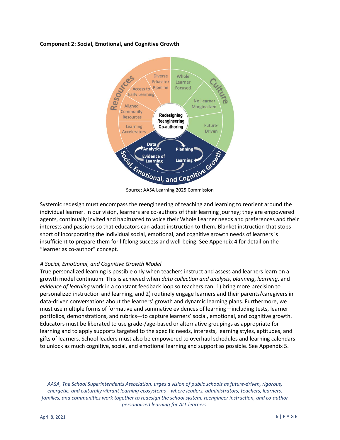#### **Component 2: Social, Emotional, and Cognitive Growth**



Source: AASA Learning 2025 Commission

Systemic redesign must encompass the reengineering of teaching and learning to reorient around the individual learner. In our vision, learners are co-authors of their learning journey; they are empowered agents, continually invited and habituated to voice their Whole Learner needs and preferences and their interests and passions so that educators can adapt instruction to them. Blanket instruction that stops short of incorporating the individual social, emotional, and cognitive growth needs of learners is insufficient to prepare them for lifelong success and well-being. See Appendix 4 for detail on the "learner as co-author" concept.

#### *A Social, Emotional, and Cognitive Growth Model*

True personalized learning is possible only when teachers instruct and assess and learners learn on a growth model continuum. This is achieved when *data collection and analysis*, *planning*, *learning*, and *evidence of learning* work in a constant feedback loop so teachers can: 1) bring more precision to personalized instruction and learning, and 2) routinely engage learners and their parents/caregivers in data-driven conversations about the learners' growth and dynamic learning plans. Furthermore, we must use multiple forms of formative and summative evidences of learning—including tests, learner portfolios, demonstrations, and rubrics—to capture learners' social, emotional, and cognitive growth. Educators must be liberated to use grade-/age-based or alternative groupings as appropriate for learning and to apply supports targeted to the specific needs, interests, learning styles, aptitudes, and gifts of learners. School leaders must also be empowered to overhaul schedules and learning calendars to unlock as much cognitive, social, and emotional learning and support as possible. See Appendix 5.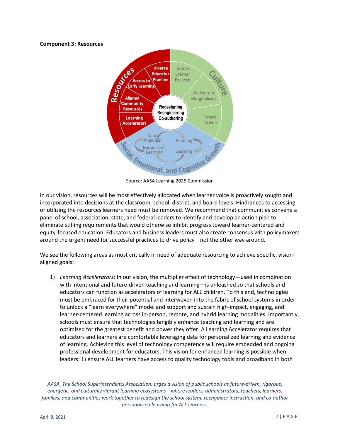#### **Component 3: Resources**



Source: AASA Learning 2025 Commission

In our vision, resources will be most effectively allocated when learner voice is proactively sought and incorporated into decisions at the classroom, school, district, and board levels. Hindrances to accessing or utilizing the resources learners need must be removed. We recommend that communities convene a panel of school, association, state, and federal leaders to identify and develop an action plan to eliminate stifling requirements that would otherwise inhibit progress toward learner-centered and equity-focused education. Educators and business leaders must also create consensus with policymakers around the urgent need for successful practices to drive policy—not the other way around.

We see the following areas as most critically in need of adequate resourcing to achieve specific, visionaligned goals:

1) *Learning Accelerators*: In our vision, the multiplier effect of technology—used in combination with intentional and future-driven teaching and learning—is unleashed so that schools and educators can function as accelerators of learning for ALL children. To this end, technologies must be embraced for their potential and interwoven into the fabric of school systems in order to unlock a "learn everywhere" model and support and sustain high-impact, engaging, and learner-centered learning across in-person, remote, and hybrid learning modalities. Importantly, schools must ensure that technologies tangibly enhance teaching and learning and are optimized for the greatest benefit and power they offer. A Learning Accelerator requires that educators and learners are comfortable leveraging data for personalized learning and evidence of learning. Achieving this level of technology competence will require embedded and ongoing professional development for educators. This vision for enhanced learning is possible when leaders: 1) ensure ALL learners have access to quality technology tools and broadband in both

*AASA, The School Superintendents Association, urges a vision of public schools as future-driven, rigorous, energetic, and culturally vibrant learning ecosystems—where leaders, administrators, teachers, learners, families, and communities work together to redesign the school system, reengineer instruction, and co-author personalized learning for ALL learners.*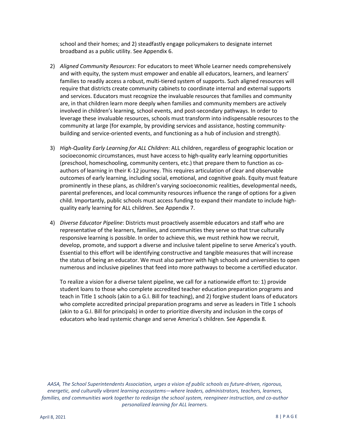school and their homes; and 2) steadfastly engage policymakers to designate internet broadband as a public utility. See Appendix 6.

- 2) *Aligned Community Resources*: For educators to meet Whole Learner needs comprehensively and with equity, the system must empower and enable all educators, learners, and learners' families to readily access a robust, multi-tiered system of supports. Such aligned resources will require that districts create community cabinets to coordinate internal and external supports and services. Educators must recognize the invaluable resources that families and community are, in that children learn more deeply when families and community members are actively involved in children's learning, school events, and post-secondary pathways. In order to leverage these invaluable resources, schools must transform into indispensable resources to the community at large (for example, by providing services and assistance, hosting communitybuilding and service-oriented events, and functioning as a hub of inclusion and strength).
- 3) *High-Quality Early Learning for ALL Children*: ALL children, regardless of geographic location or socioeconomic circumstances, must have access to high-quality early learning opportunities (preschool, homeschooling, community centers, etc.) that prepare them to function as coauthors of learning in their K-12 journey. This requires articulation of clear and observable outcomes of early learning, including social, emotional, and cognitive goals. Equity must feature prominently in these plans, as children's varying socioeconomic realities, developmental needs, parental preferences, and local community resources influence the range of options for a given child. Importantly, public schools must access funding to expand their mandate to include highquality early learning for ALL children. See Appendix 7.
- 4) *Diverse Educator Pipeline*: Districts must proactively assemble educators and staff who are representative of the learners, families, and communities they serve so that true culturally responsive learning is possible. In order to achieve this, we must rethink how we recruit, develop, promote, and support a diverse and inclusive talent pipeline to serve America's youth. Essential to this effort will be identifying constructive and tangible measures that will increase the status of being an educator. We must also partner with high schools and universities to open numerous and inclusive pipelines that feed into more pathways to become a certified educator.

To realize a vision for a diverse talent pipeline, we call for a nationwide effort to: 1) provide student loans to those who complete accredited teacher education preparation programs and teach in Title 1 schools (akin to a G.I. Bill for teaching), and 2) forgive student loans of educators who complete accredited principal preparation programs and serve as leaders in Title 1 schools (akin to a G.I. Bill for principals) in order to prioritize diversity and inclusion in the corps of educators who lead systemic change and serve America's children. See Appendix 8.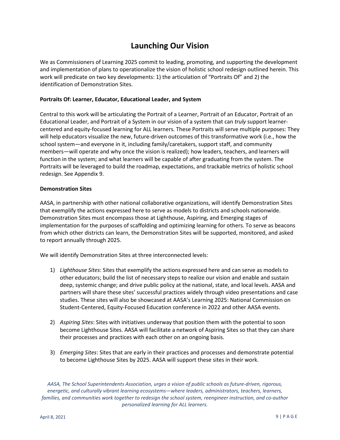# **Launching Our Vision**

<span id="page-13-0"></span>We as Commissioners of Learning 2025 commit to leading, promoting, and supporting the development and implementation of plans to operationalize the vision of holistic school redesign outlined herein. This work will predicate on two key developments: 1) the articulation of "Portraits Of" and 2) the identification of Demonstration Sites.

#### **Portraits Of: Learner, Educator, Educational Leader, and System**

Central to this work will be articulating the Portrait of a Learner, Portrait of an Educator, Portrait of an Educational Leader, and Portrait of a System in our vision of a system that can *truly* support learnercentered and equity-focused learning for ALL learners. These Portraits will serve multiple purposes: They will help educators visualize the new, future-driven outcomes of this transformative work (i.e., how the school system—and everyone in it, including family/caretakers, support staff, and community members—will operate and why once the vision is realized); how leaders, teachers, and learners will function in the system; and what learners will be capable of after graduating from the system. The Portraits will be leveraged to build the roadmap, expectations, and trackable metrics of holistic school redesign. See Appendix 9.

#### **Demonstration Sites**

AASA, in partnership with other national collaborative organizations, will identify Demonstration Sites that exemplify the actions expressed here to serve as models to districts and schools nationwide. Demonstration Sites must encompass those at Lighthouse, Aspiring, and Emerging stages of implementation for the purposes of scaffolding and optimizing learning for others. To serve as beacons from which other districts can learn, the Demonstration Sites will be supported, monitored, and asked to report annually through 2025.

We will identify Demonstration Sites at three interconnected levels:

- 1) *Lighthouse Sites*: Sites that exemplify the actions expressed here and can serve as models to other educators; build the list of necessary steps to realize our vision and enable and sustain deep, systemic change; and drive public policy at the national, state, and local levels. AASA and partners will share these sites' successful practices widely through video presentations and case studies. These sites will also be showcased at AASA's Learning 2025: National Commission on Student-Centered, Equity-Focused Education conference in 2022 and other AASA events.
- 2) *Aspiring Sites*: Sites with initiatives underway that position them with the potential to soon become Lighthouse Sites. AASA will facilitate a network of Aspiring Sites so that they can share their processes and practices with each other on an ongoing basis.
- 3) *Emerging Sites*: Sites that are early in their practices and processes and demonstrate potential to become Lighthouse Sites by 2025. AASA will support these sites in their work.

*AASA, The School Superintendents Association, urges a vision of public schools as future-driven, rigorous, energetic, and culturally vibrant learning ecosystems—where leaders, administrators, teachers, learners, families, and communities work together to redesign the school system, reengineer instruction, and co-author personalized learning for ALL learners.*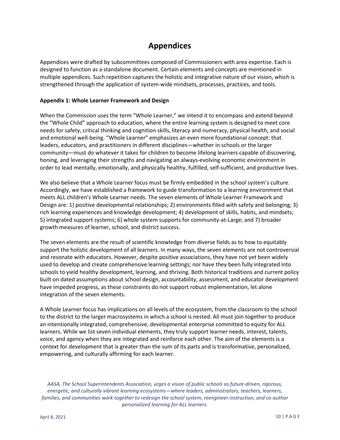# **Appendices**

<span id="page-14-0"></span>Appendices were drafted by subcommittees composed of Commissioners with area expertise. Each is designed to function as a standalone document. Certain elements and concepts are mentioned in multiple appendices. Such repetition captures the holistic and integrative nature of our vision, which is strengthened through the application of system-wide mindsets, processes, practices, and tools.

#### <span id="page-14-1"></span>**Appendix 1: Whole Learner Framework and Design**

When the Commission uses the term "Whole Learner," we intend it to encompass and extend beyond the "Whole Child" approach to education, where the entire learning system is designed to meet core needs for safety, critical thinking and cognition skills, literacy and numeracy, physical health, and social and emotional well-being. "Whole Learner" emphasizes an even more foundational concept: that leaders, educators, and practitioners in different disciplines—whether in schools or the larger community—must do whatever it takes for children to become lifelong learners capable of discovering, honing, and leveraging their strengths and navigating an always-evolving economic environment in order to lead mentally, emotionally, and physically healthy, fulfilled, self-sufficient, and productive lives.

We also believe that a Whole Learner focus must be firmly embedded in the school system's culture. Accordingly, we have established a framework to guide transformation to a learning environment that meets ALL children's Whole Learner needs. The seven elements of Whole Learner Framework and Design are: 1) positive developmental relationships; 2) environments filled with safety and belonging; 3) rich learning experiences and knowledge development; 4) development of skills, habits, and mindsets; 5) integrated support systems; 6) whole system supports for community-at-Large; and 7) broader growth measures of learner, school, and district success.

The seven elements are the result of scientific knowledge from diverse fields as to how to equitably support the holistic development of all learners. In many ways, the seven elements are not controversial and resonate with educators. However, despite positive associations, they have not yet been widely used to develop and create comprehensive learning settings; nor have they been fully integrated into schools to yield healthy development, learning, and thriving. Both historical traditions and current policy built on dated assumptions about school design, accountability, assessment, and educator development have impeded progress, as these constraints do not support robust implementation, let alone integration of the seven elements.

A Whole Learner focus has implications on all levels of the ecosystem, from the classroom to the school to the district to the larger macrosystems in which a school is nested. All must join together to produce an intentionally integrated, comprehensive, developmental enterprise committed to equity for ALL learners. While we list seven individual elements, they truly support learner needs, interest, talents, voice, and agency when they are integrated and reinforce each other. The aim of the elements is a context for development that is greater than the sum of its parts and is transformative, personalized, empowering, and culturally affirming for each learner.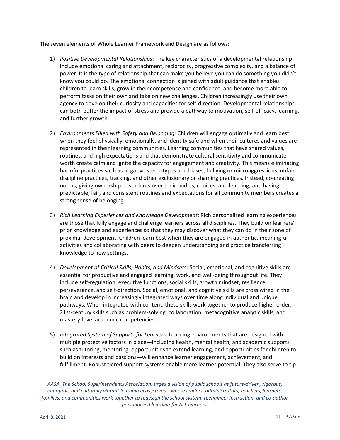The seven elements of Whole Learner Framework and Design are as follows:

- 1) *Positive Developmental Relationships*: The key characteristics of a developmental relationship include emotional caring and attachment, reciprocity, progressive complexity, and a balance of power. It is the type of relationship that can make you believe you can do something you didn't know you could do. The emotional connection is joined with adult guidance that enables children to learn skills, grow in their competence and confidence, and become more able to perform tasks on their own and take on new challenges. Children increasingly use their own agency to develop their curiosity and capacities for self-direction. Developmental relationships can both buffer the impact of stress and provide a pathway to motivation, self-efficacy, learning, and further growth.
- 2) *Environments Filled with Safety and Belonging*: Children will engage optimally and learn best when they feel physically, emotionally, and identity safe and when their cultures and values are represented in their learning communities. Learning communities that have shared values, routines, and high expectations and that demonstrate cultural sensitivity and communicate worth create calm and ignite the capacity for engagement and creativity. This means eliminating harmful practices such as negative stereotypes and biases, bullying or microaggressions, unfair discipline practices, tracking, and other exclusionary or shaming practices. Instead, co-creating norms; giving ownership to students over their bodies, choices, and learning; and having predictable, fair, and consistent routines and expectations for all community members creates a strong sense of belonging.
- 3) *Rich Learning Experiences and Knowledge Development*: Rich personalized learning experiences are those that fully engage and challenge learners across all disciplines. They build on learners' prior knowledge and experiences so that they may discover what they can do in their zone of proximal development. Children learn best when they are engaged in authentic, meaningful activities and collaborating with peers to deepen understanding and practice transferring knowledge to new settings.
- 4) *Development of Critical Skills, Habits, and Mindsets*: Social, emotional, and cognitive skills are essential for productive and engaged learning, work, and well-being throughout life. They include self-regulation, executive functions, social skills, growth mindset, resilience, perseverance, and self-direction. Social, emotional, and cognitive skills are cross wired in the brain and develop in increasingly integrated ways over time along individual and unique pathways. When integrated with content, these skills work together to produce higher-order, 21st-century skills such as problem-solving, collaboration, metacognitive analytic skills, and mastery-level academic competencies.
- 5) *Integrated System of Supports for Learners*: Learning environments that are designed with multiple protective factors in place—including health, mental health, and academic supports such as tutoring, mentoring, opportunities to extend learning, and opportunities for children to build on interests and passions—will enhance learner engagement, achievement, and fulfillment. Robust tiered support systems enable more learner potential. They also serve to tip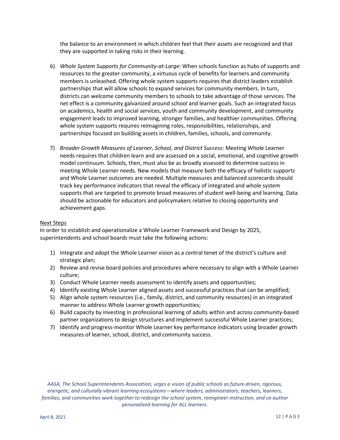the balance to an environment in which children feel that their assets are recognized and that they are supported in taking risks in their learning.

- 6) *Whole System Supports for Community-at-Large*: When schools function as hubs of supports and resources to the greater community, a virtuous cycle of benefits for learners and community members is unleashed. Offering whole system supports requires that district leaders establish partnerships that will allow schools to expand services for community members. In turn, districts can welcome community members to schools to take advantage of those services. The net effect is a community galvanized around school and learner goals. Such an integrated focus on academics, health and social services, youth and community development, and community engagement leads to improved learning, stronger families, and healthier communities. Offering whole system supports requires reimagining roles, responsibilities, relationships, and partnerships focused on building assets in children, families, schools, and community.
- 7) *Broader Growth Measures of Learner, School, and District Success*: Meeting Whole Learner needs requires that children learn and are assessed on a social, emotional, and cognitive growth model continuum. Schools, then, must also be as broadly assessed to determine success in meeting Whole Learner needs. New models that measure both the efficacy of holistic supports and Whole Learner outcomes are needed. Multiple measures and balanced scorecards should track key performance indicators that reveal the efficacy of integrated and whole system supports that are targeted to promote broad measures of student well-being and learning. Data should be actionable for educators and policymakers relative to closing opportunity and achievement gaps.

#### Next Steps

In order to establish and operationalize a Whole Learner Framework and Design by 2025, superintendents and school boards must take the following actions:

- 1) Integrate and adopt the Whole Learner vision as a central tenet of the district's culture and strategic plan;
- 2) Review and revise board policies and procedures where necessary to align with a Whole Learner culture;
- 3) Conduct Whole Learner needs assessment to identify assets and opportunities;
- 4) Identify existing Whole Learner aligned assets and successful practices that can be amplified;
- 5) Align whole system resources (i.e., family, district, and community resources) in an integrated manner to address Whole Learner growth opportunities;
- 6) Build capacity by investing in professional learning of adults within and across community-based partner organizations to design structures and implement successful Whole Learner practices;
- 7) Identify and progress-monitor Whole Learner key performance indicators using broader growth measures of learner, school, district, and community success.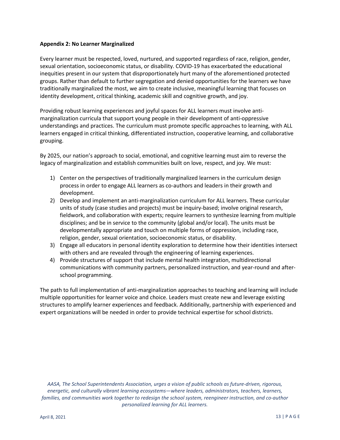#### <span id="page-17-0"></span>**Appendix 2: No Learner Marginalized**

Every learner must be respected, loved, nurtured, and supported regardless of race, religion, gender, sexual orientation, socioeconomic status, or disability. COVID-19 has exacerbated the educational inequities present in our system that disproportionately hurt many of the aforementioned protected groups. Rather than default to further segregation and denied opportunities for the learners we have traditionally marginalized the most, we aim to create inclusive, meaningful learning that focuses on identity development, critical thinking, academic skill and cognitive growth, and joy.

Providing robust learning experiences and joyful spaces for ALL learners must involve antimarginalization curricula that support young people in their development of anti-oppressive understandings and practices. The curriculum must promote specific approaches to learning, with ALL learners engaged in critical thinking, differentiated instruction, cooperative learning, and collaborative grouping.

By 2025, our nation's approach to social, emotional, and cognitive learning must aim to reverse the legacy of marginalization and establish communities built on love, respect, and joy. We must:

- 1) Center on the perspectives of traditionally marginalized learners in the curriculum design process in order to engage ALL learners as co-authors and leaders in their growth and development.
- 2) Develop and implement an anti-marginalization curriculum for ALL learners. These curricular units of study (case studies and projects) must be inquiry-based; involve original research, fieldwork, and collaboration with experts; require learners to synthesize learning from multiple disciplines; and be in service to the community (global and/or local). The units must be developmentally appropriate and touch on multiple forms of oppression, including race, religion, gender, sexual orientation, socioeconomic status, or disability.
- 3) Engage all educators in personal identity exploration to determine how their identities intersect with others and are revealed through the engineering of learning experiences.
- 4) Provide structures of support that include mental health integration, multidirectional communications with community partners, personalized instruction, and year-round and afterschool programming.

The path to full implementation of anti-marginalization approaches to teaching and learning will include multiple opportunities for learner voice and choice. Leaders must create new and leverage existing structures to amplify learner experiences and feedback. Additionally, partnership with experienced and expert organizations will be needed in order to provide technical expertise for school districts.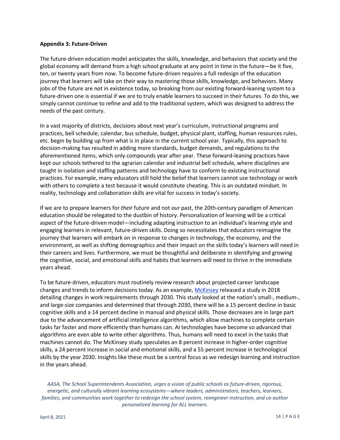#### <span id="page-18-0"></span>**Appendix 3: Future-Driven**

The future-driven education model anticipates the skills, knowledge, and behaviors that society and the global economy will demand from a high school graduate at any point in time in the future—be it five, ten, or twenty years from now. To become future-driven requires a full redesign of the education journey that learners will take on their way to mastering those skills, knowledge, and behaviors. Many jobs of the future are not in existence today, so breaking from our existing forward-leaning system to a future-driven one is essential if we are to truly enable learners to succeed in their futures. To do this, we simply cannot continue to refine and add to the traditional system, which was designed to address the needs of the past century.

In a vast majority of districts, decisions about next year's curriculum, instructional programs and practices, bell schedule, calendar, bus schedule, budget, physical plant, staffing, human resources rules, etc. begin by building up from what is in place in the current school year. Typically, this approach to decision-making has resulted in adding more standards, budget demands, and regulations to the aforementioned items, which only compounds year after year. These forward-leaning practices have kept our schools tethered to the agrarian calendar and industrial bell schedule, where disciplines are taught in isolation and staffing patterns and technology have to conform to existing instructional practices. For example, many educators still hold the belief that learners cannot use technology or work with others to complete a test because it would constitute cheating. This is an outdated mindset. In reality, technology and collaboration skills are vital for success in today's society.

If we are to prepare learners for *their* future and not *our* past, the 20th-century paradigm of American education should be relegated to the dustbin of history. Personalization of learning will be a critical aspect of the future-driven model—including adapting instruction to an individual's learning style and engaging learners in relevant, future-driven skills. Doing so necessitates that educators reimagine the journey that learners will embark on in response to changes in technology, the economy, and the environment, as well as shifting demographics and their impact on the skills today's learners will need in their careers and lives. Furthermore, we must be thoughtful and deliberate in identifying and growing the cognitive, social, and emotional skills and habits that learners will need to thrive in the immediate years ahead.

To be future-driven, educators must routinely review research about projected career landscape changes and trends to inform decisions today. As an example, [McKinsey](https://www.mckinsey.com/featured-insights/future-of-work/skill-shift-automation-and-the-future-of-the-workforce) released a study in 2018 detailing changes in work requirements through 2030. This study looked at the nation's small-, medium-, and large-size companies and determined that through 2030, there will be a 15 percent decline in basic cognitive skills and a 14 percent decline in manual and physical skills. Those decreases are in large part due to the advancement of artificial intelligence algorithms, which allow machines to complete certain tasks far faster and more efficiently than humans can. AI technologies have become so advanced that algorithms are even able to write other algorithms. Thus, humans will need to excel in the tasks that machines cannot do. The McKinsey study speculates an 8 percent increase in higher-order cognitive skills, a 24 percent increase in social and emotional skills, and a 55 percent increase in technological skills by the year 2030. Insights like these must be a central focus as we redesign learning and instruction in the years ahead.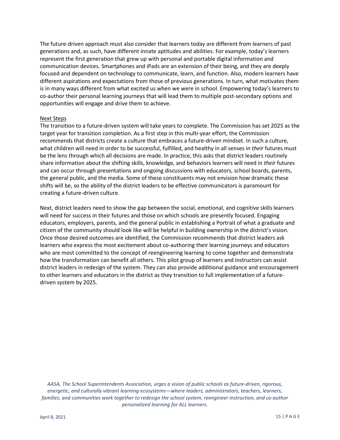The future-driven approach must also consider that learners today are different from learners of past generations and, as such, have different innate aptitudes and abilities. For example, today's learners represent the first generation that grew up with personal and portable digital information and communication devices. Smartphones and iPads are an extension of their being, and they are deeply focused and dependent on technology to communicate, learn, and function. Also, modern learners have different aspirations and expectations from those of previous generations. In turn, what motivates them is in many ways different from what excited us when we were in school. Empowering today's learners to co-author their personal learning journeys that will lead them to multiple post-secondary options and opportunities will engage and drive them to achieve.

#### Next Steps

The transition to a future-driven system will take years to complete. The Commission has set 2025 as the target year for transition completion. As a first step in this multi-year effort, the Commission recommends that districts create a culture that embraces a future-driven mindset. In such a culture, what children will need in order to be successful, fulfilled, and healthy in all senses in *their* futures must be the lens through which all decisions are made. In practice, this asks that district leaders routinely share information about the shifting skills, knowledge, and behaviors learners will need in *their* futures and can occur through presentations and ongoing discussions with educators, school boards, parents, the general public, and the media. Some of these constituents may not envision how dramatic these shifts will be, so the ability of the district leaders to be effective communicators is paramount for creating a future-driven culture.

Next, district leaders need to show the gap between the social, emotional, and cognitive skills learners will need for success in their futures and those on which schools are presently focused. Engaging educators, employers, parents, and the general public in establishing a Portrait of what a graduate and citizen of the community should look like will be helpful in building ownership in the district's vision. Once those desired outcomes are identified, the Commission recommends that district leaders ask learners who express the most excitement about co-authoring their learning journeys and educators who are most committed to the concept of reengineering learning to come together and demonstrate how the transformation can benefit all others. This pilot group of learners and instructors can assist district leaders in redesign of the system. They can also provide additional guidance and encouragement to other learners and educators in the district as they transition to full implementation of a futuredriven system by 2025.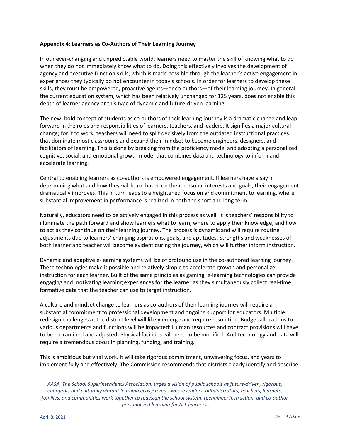#### <span id="page-20-0"></span>**Appendix 4: Learners as Co-Authors of Their Learning Journey**

In our ever-changing and unpredictable world, learners need to master the skill of knowing what to do when they do not immediately know what to do. Doing this effectively involves the development of agency and executive function skills, which is made possible through the learner's active engagement in experiences they typically do not encounter in today's schools. In order for learners to develop these skills, they must be empowered, proactive agents—or co-authors—of their learning journey. In general, the current education system, which has been relatively unchanged for 125 years, does not enable this depth of learner agency or this type of dynamic and future-driven learning.

The new, bold concept of students as co-authors of their learning journey is a dramatic change and leap forward in the roles and responsibilities of learners, teachers, and leaders. It signifies a major cultural change; for it to work, teachers will need to split decisively from the outdated instructional practices that dominate most classrooms and expand their mindset to become engineers, designers, and facilitators of learning. This is done by breaking from the proficiency model and adopting a personalized cognitive, social, and emotional growth model that combines data and technology to inform and accelerate learning.

Central to enabling learners as co-authors is empowered engagement. If learners have a say in determining what and how they will learn based on their personal interests and goals, their engagement dramatically improves. This in turn leads to a heightened focus on and commitment to learning, where substantial improvement in performance is realized in both the short and long term.

Naturally, educators need to be actively engaged in this process as well. It is teachers' responsibility to illuminate the path forward and show learners what to learn, where to apply their knowledge, and how to act as they continue on their learning journey. The process is dynamic and will require routine adjustments due to learners' changing aspirations, goals, and aptitudes. Strengths and weaknesses of both learner and teacher will become evident during the journey, which will further inform instruction.

Dynamic and adaptive e-learning systems will be of profound use in the co-authored learning journey. These technologies make it possible and relatively simple to accelerate growth and personalize instruction for each learner. Built of the same principles as gaming, e-learning technologies can provide engaging and motivating learning experiences for the learner as they simultaneously collect real-time formative data that the teacher can use to target instruction.

A culture and mindset change to learners as co-authors of their learning journey will require a substantial commitment to professional development and ongoing support for educators. Multiple redesign challenges at the district level will likely emerge and require resolution. Budget allocations to various departments and functions will be impacted: Human resources and contract provisions will have to be reexamined and adjusted. Physical facilities will need to be modified. And technology and data will require a tremendous boost in planning, funding, and training.

This is ambitious but vital work. It will take rigorous commitment, unwavering focus, and years to implement fully and effectively. The Commission recommends that districts clearly identify and describe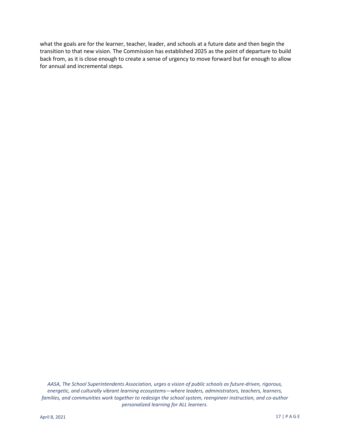what the goals are for the learner, teacher, leader, and schools at a future date and then begin the transition to that new vision. The Commission has established 2025 as the point of departure to build back from, as it is close enough to create a sense of urgency to move forward but far enough to allow for annual and incremental steps.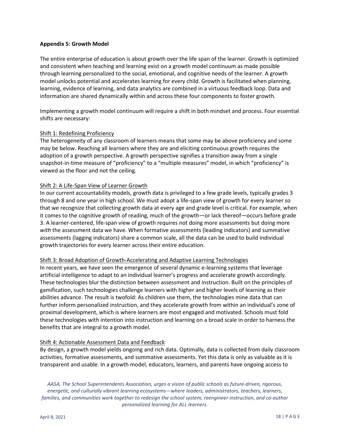#### <span id="page-22-0"></span>**Appendix 5: Growth Model**

The entire enterprise of education is about growth over the life span of the learner. Growth is optimized and consistent when teaching and learning exist on a growth model continuum as made possible through learning personalized to the social, emotional, and cognitive needs of the learner. A growth model unlocks potential and accelerates learning for every child. Growth is facilitated when planning, learning, evidence of learning, and data analytics are combined in a virtuous feedback loop. Data and information are shared dynamically within and across these four components to foster growth.

Implementing a growth model continuum will require a shift in both mindset and process. Four essential shifts are necessary:

#### Shift 1: Redefining Proficiency

The heterogeneity of any classroom of learners means that some may be above proficiency and some may be below. Reaching all learners where they are and eliciting continuous growth requires the adoption of a growth perspective. A growth perspective signifies a transition away from a single snapshot-in-time measure of "proficiency" to a "multiple measures" model, in which "proficiency" is viewed as the floor and not the ceiling.

#### Shift 2: A Life-Span View of Learner Growth

In our current accountability models, growth data is privileged to a few grade levels, typically grades 3 through 8 and one year in high school. We must adopt a life-span view of growth for every learner so that we recognize that collecting growth data at every age and grade level is critical. For example, when it comes to the cognitive growth of reading, much of the growth—or lack thereof—occurs before grade 3. A learner-centered, life-span view of growth requires not doing more assessments but doing more *with* the assessment data we have. When formative assessments (leading indicators) and summative assessments (lagging indicators) share a common scale, all the data can be used to build individual growth trajectories for every learner across their entire education.

#### Shift 3: Broad Adoption of Growth-Accelerating and Adaptive Learning Technologies

In recent years, we have seen the emergence of several dynamic e-learning systems that leverage artificial intelligence to adapt to an individual learner's progress and accelerate growth accordingly. These technologies blur the distinction between assessment and instruction. Built on the principles of gamification, such technologies challenge learners with higher and higher levels of learning as their abilities advance. The result is twofold: As children use them, the technologies mine data that can further inform personalized instruction, and they accelerate growth from within an individual's zone of proximal development, which is where learners are most engaged and motivated. Schools must fold these technologies with intention into instruction and learning on a broad scale in order to harness the benefits that are integral to a growth model.

#### Shift 4: Actionable Assessment Data and Feedback

By design, a growth model yields ongoing and rich data. Optimally, data is collected from daily classroom activities, formative assessments, and summative assessments. Yet this data is only as valuable as it is transparent and usable. In a growth model, educators, learners, and parents have ongoing access to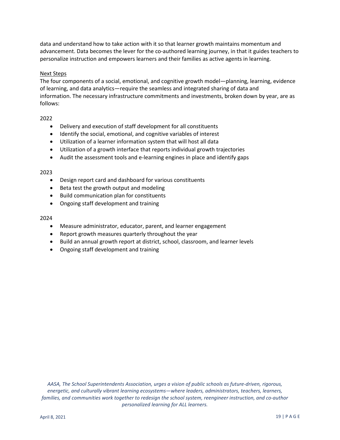data and understand how to take action with it so that learner growth maintains momentum and advancement. Data becomes the lever for the co-authored learning journey, in that it guides teachers to personalize instruction and empowers learners and their families as active agents in learning.

#### Next Steps

The four components of a social, emotional, and cognitive growth model—planning, learning, evidence of learning, and data analytics—require the seamless and integrated sharing of data and information. The necessary infrastructure commitments and investments, broken down by year, are as follows:

#### 2022

- Delivery and execution of staff development for all constituents
- Identify the social, emotional, and cognitive variables of interest
- Utilization of a learner information system that will host all data
- Utilization of a growth interface that reports individual growth trajectories
- Audit the assessment tools and e-learning engines in place and identify gaps

#### 2023

- Design report card and dashboard for various constituents
- Beta test the growth output and modeling
- Build communication plan for constituents
- Ongoing staff development and training

#### 2024

- Measure administrator, educator, parent, and learner engagement
- Report growth measures quarterly throughout the year
- Build an annual growth report at district, school, classroom, and learner levels
- Ongoing staff development and training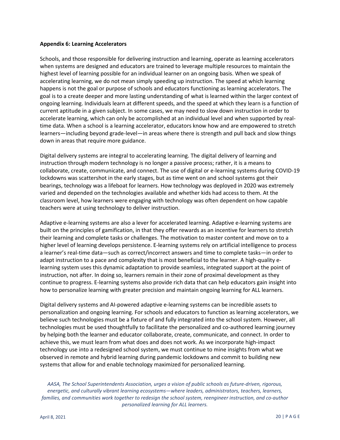#### <span id="page-24-0"></span>**Appendix 6: Learning Accelerators**

Schools, and those responsible for delivering instruction and learning, operate as learning accelerators when systems are designed and educators are trained to leverage multiple resources to maintain the highest level of learning possible for an individual learner on an ongoing basis. When we speak of accelerating learning, we do not mean simply speeding up instruction. The speed at which learning happens is not the goal or purpose of schools and educators functioning as learning accelerators. The goal is to a create deeper and more lasting understanding of what is learned within the larger context of ongoing learning. Individuals learn at different speeds, and the speed at which they learn is a function of current aptitude in a given subject. In some cases, we may need to slow down instruction in order to accelerate learning, which can only be accomplished at an individual level and when supported by realtime data. When a school is a learning accelerator, educators know how and are empowered to stretch learners—including beyond grade-level—in areas where there is strength and pull back and slow things down in areas that require more guidance.

Digital delivery systems are integral to accelerating learning. The digital delivery of learning and instruction through modern technology is no longer a passive process; rather, it is a means to collaborate, create, communicate, and connect. The use of digital or e-learning systems during COVID-19 lockdowns was scattershot in the early stages, but as time went on and school systems got their bearings, technology was a lifeboat for learners. How technology was deployed in 2020 was extremely varied and depended on the technologies available and whether kids had access to them. At the classroom level, how learners were engaging with technology was often dependent on how capable teachers were at using technology to deliver instruction.

Adaptive e-learning systems are also a lever for accelerated learning. Adaptive e-learning systems are built on the principles of gamification, in that they offer rewards as an incentive for learners to stretch their learning and complete tasks or challenges. The motivation to master content and move on to a higher level of learning develops persistence. E-learning systems rely on artificial intelligence to process a learner's real-time data—such as correct/incorrect answers and time to complete tasks—in order to adapt instruction to a pace and complexity that is most beneficial to the learner. A high-quality elearning system uses this dynamic adaptation to provide seamless, integrated support at the point of instruction, not after. In doing so, learners remain in their zone of proximal development as they continue to progress. E-learning systems also provide rich data that can help educators gain insight into how to personalize learning with greater precision and maintain ongoing learning for ALL learners.

Digital delivery systems and AI-powered adaptive e-learning systems can be incredible assets to personalization and ongoing learning. For schools and educators to function as learning accelerators, we believe such technologies must be a fixture of and fully integrated into the school system. However, all technologies must be used thoughtfully to facilitate the personalized and co-authored learning journey by helping both the learner and educator collaborate, create, communicate, and connect. In order to achieve this, we must learn from what does and does not work. As we incorporate high-impact technology use into a redesigned school system, we must continue to mine insights from what we observed in remote and hybrid learning during pandemic lockdowns and commit to building new systems that allow for and enable technology maximized for personalized learning.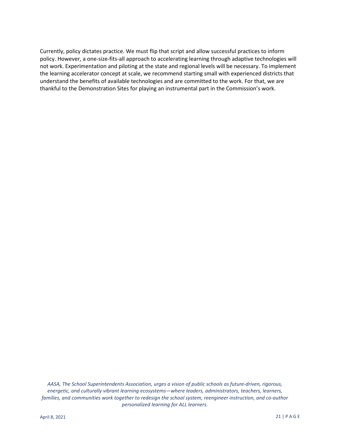Currently, policy dictates practice. We must flip that script and allow successful practices to inform policy. However, a one-size-fits-all approach to accelerating learning through adaptive technologies will not work. Experimentation and piloting at the state and regional levels will be necessary. To implement the learning accelerator concept at scale, we recommend starting small with experienced districts that understand the benefits of available technologies and are committed to the work. For that, we are thankful to the Demonstration Sites for playing an instrumental part in the Commission's work.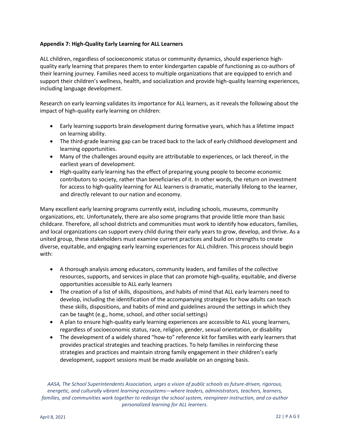#### <span id="page-26-0"></span>**Appendix 7: High-Quality Early Learning for ALL Learners**

ALL children, regardless of socioeconomic status or community dynamics, should experience highquality early learning that prepares them to enter kindergarten capable of functioning as co-authors of their learning journey. Families need access to multiple organizations that are equipped to enrich and support their children's wellness, health, and socialization and provide high-quality learning experiences, including language development.

Research on early learning validates its importance for ALL learners, as it reveals the following about the impact of high-quality early learning on children:

- Early learning supports brain development during formative years, which has a lifetime impact on learning ability.
- The third-grade learning gap can be traced back to the lack of early childhood development and learning opportunities.
- Many of the challenges around equity are attributable to experiences, or lack thereof, in the earliest years of development.
- High-quality early learning has the effect of preparing young people to become economic contributors to society, rather than beneficiaries of it. In other words, the return on investment for access to high-quality learning for ALL learners is dramatic, materially lifelong to the learner, and directly relevant to our nation and economy.

Many excellent early learning programs currently exist, including schools, museums, community organizations, etc. Unfortunately, there are also some programs that provide little more than basic childcare. Therefore, all school districts and communities must work to identify how educators, families, and local organizations can support every child during their early years to grow, develop, and thrive. As a united group, these stakeholders must examine current practices and build on strengths to create diverse, equitable, and engaging early learning experiences for ALL children. This process should begin with:

- A thorough analysis among educators, community leaders, and families of the collective resources, supports, and services in place that can promote high-quality, equitable, and diverse opportunities accessible to ALL early learners
- The creation of a list of skills, dispositions, and habits of mind that ALL early learners need to develop, including the identification of the accompanying strategies for how adults can teach these skills, dispositions, and habits of mind and guidelines around the settings in which they can be taught (e.g., home, school, and other social settings)
- A plan to ensure high-quality early learning experiences are accessible to ALL young learners, regardless of socioeconomic status, race, religion, gender, sexual orientation, or disability
- The development of a widely shared "how-to" reference kit for families with early learners that provides practical strategies and teaching practices. To help families in reinforcing these strategies and practices and maintain strong family engagement in their children's early development, support sessions must be made available on an ongoing basis.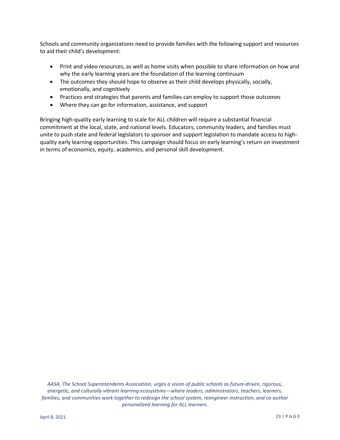Schools and community organizations need to provide families with the following support and resources to aid their child's development:

- Print and video resources, as well as home visits when possible to share information on how and why the early learning years are the foundation of the learning continuum
- The outcomes they should hope to observe as their child develops physically, socially, emotionally, and cognitively
- Practices and strategies that parents and families can employ to support those outcomes
- Where they can go for information, assistance, and support

Bringing high-quality early learning to scale for ALL children will require a substantial financial commitment at the local, state, and national levels. Educators, community leaders, and families must unite to push state and federal legislators to sponsor and support legislation to mandate access to highquality early learning opportunities. This campaign should focus on early learning's return on investment in terms of economics, equity, academics, and personal skill development.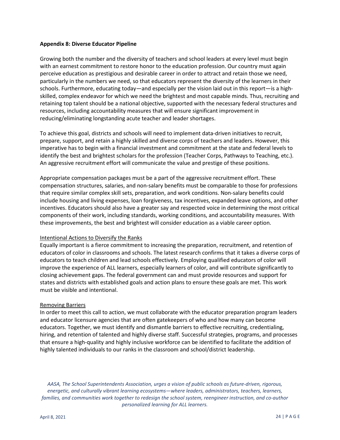#### <span id="page-28-0"></span>**Appendix 8: Diverse Educator Pipeline**

Growing both the number and the diversity of teachers and school leaders at every level must begin with an earnest commitment to restore honor to the education profession. Our country must again perceive education as prestigious and desirable career in order to attract and retain those we need, particularly in the numbers we need, so that educators represent the diversity of the learners in their schools. Furthermore, educating today—and especially per the vision laid out in this report—is a highskilled, complex endeavor for which we need the brightest and most capable minds. Thus, recruiting and retaining top talent should be a national objective, supported with the necessary federal structures and resources, including accountability measures that will ensure significant improvement in reducing/eliminating longstanding acute teacher and leader shortages.

To achieve this goal, districts and schools will need to implement data-driven initiatives to recruit, prepare, support, and retain a highly skilled and diverse corps of teachers and leaders. However, this imperative has to begin with a financial investment and commitment at the state and federal levels to identify the best and brightest scholars for the profession (Teacher Corps, Pathways to Teaching, etc.). An aggressive recruitment effort will communicate the value and prestige of these positions.

Appropriate compensation packages must be a part of the aggressive recruitment effort. These compensation structures, salaries, and non-salary benefits must be comparable to those for professions that require similar complex skill sets, preparation, and work conditions. Non-salary benefits could include housing and living expenses, loan forgiveness, tax incentives, expanded leave options, and other incentives. Educators should also have a greater say and respected voice in determining the most critical components of their work, including standards, working conditions, and accountability measures. With these improvements, the best and brightest will consider education as a viable career option.

#### Intentional Actions to Diversify the Ranks

Equally important is a fierce commitment to increasing the preparation, recruitment, and retention of educators of color in classrooms and schools. The latest research confirms that it takes a diverse corps of educators to teach children and lead schools effectively. Employing qualified educators of color will improve the experience of ALL learners, especially learners of color, and will contribute significantly to closing achievement gaps. The federal government can and must provide resources and support for states and districts with established goals and action plans to ensure these goals are met. This work must be visible and intentional.

#### Removing Barriers

In order to meet this call to action, we must collaborate with the educator preparation program leaders and educator licensure agencies that are often gatekeepers of who and how many can become educators. Together, we must identify and dismantle barriers to effective recruiting, credentialing, hiring, and retention of talented and highly diverse staff. Successful strategies, programs, and processes that ensure a high-quality and highly inclusive workforce can be identified to facilitate the addition of highly talented individuals to our ranks in the classroom and school/district leadership.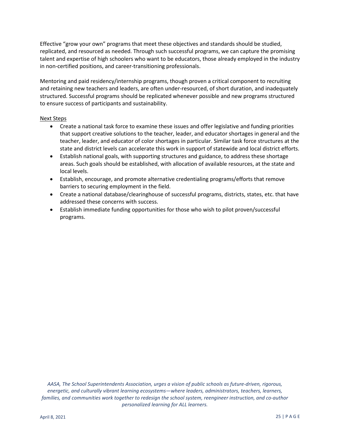Effective "grow your own" programs that meet these objectives and standards should be studied, replicated, and resourced as needed. Through such successful programs, we can capture the promising talent and expertise of high schoolers who want to be educators, those already employed in the industry in non-certified positions, and career-transitioning professionals.

Mentoring and paid residency/internship programs, though proven a critical component to recruiting and retaining new teachers and leaders, are often under-resourced, of short duration, and inadequately structured. Successful programs should be replicated whenever possible and new programs structured to ensure success of participants and sustainability.

#### Next Steps

- Create a national task force to examine these issues and offer legislative and funding priorities that support creative solutions to the teacher, leader, and educator shortages in general and the teacher, leader, and educator of color shortages in particular. Similar task force structures at the state and district levels can accelerate this work in support of statewide and local district efforts.
- Establish national goals, with supporting structures and guidance, to address these shortage areas. Such goals should be established, with allocation of available resources, at the state and local levels.
- Establish, encourage, and promote alternative credentialing programs/efforts that remove barriers to securing employment in the field.
- Create a national database/clearinghouse of successful programs, districts, states, etc. that have addressed these concerns with success.
- Establish immediate funding opportunities for those who wish to pilot proven/successful programs.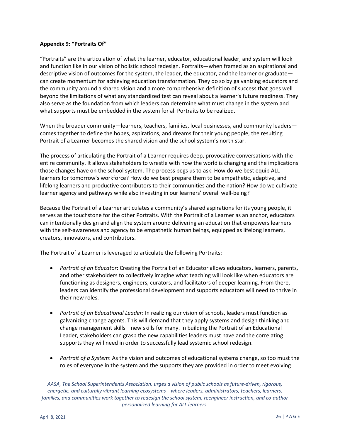#### <span id="page-30-0"></span>**Appendix 9: "Portraits Of"**

"Portraits" are the articulation of what the learner, educator, educational leader, and system will look and function like in our vision of holistic school redesign. Portraits—when framed as an aspirational and descriptive vision of outcomes for the system, the leader, the educator, and the learner or graduate can create momentum for achieving education transformation. They do so by galvanizing educators and the community around a shared vision and a more comprehensive definition of success that goes well beyond the limitations of what any standardized test can reveal about a learner's future readiness. They also serve as the foundation from which leaders can determine what must change in the system and what supports must be embedded in the system for all Portraits to be realized.

When the broader community—learners, teachers, families, local businesses, and community leaders comes together to define the hopes, aspirations, and dreams for their young people, the resulting Portrait of a Learner becomes the shared vision and the school system's north star.

The process of articulating the Portrait of a Learner requires deep, provocative conversations with the entire community. It allows stakeholders to wrestle with how the world is changing and the implications those changes have on the school system. The process begs us to ask: How do we best equip ALL learners for tomorrow's workforce? How do we best prepare them to be empathetic, adaptive, and lifelong learners and productive contributors to their communities and the nation? How do we cultivate learner agency and pathways while also investing in our learners' overall well-being?

Because the Portrait of a Learner articulates a community's shared aspirations for its young people, it serves as the touchstone for the other Portraits. With the Portrait of a Learner as an anchor, educators can intentionally design and align the system around delivering an education that empowers learners with the self-awareness and agency to be empathetic human beings, equipped as lifelong learners, creators, innovators, and contributors.

The Portrait of a Learner is leveraged to articulate the following Portraits:

- *Portrait of an Educator*: Creating the Portrait of an Educator allows educators, learners, parents, and other stakeholders to collectively imagine what teaching will look like when educators are functioning as designers, engineers, curators, and facilitators of deeper learning. From there, leaders can identify the professional development and supports educators will need to thrive in their new roles.
- *Portrait of an Educational Leader*: In realizing our vision of schools, leaders must function as galvanizing change agents. This will demand that they apply systems and design thinking and change management skills—new skills for many. In building the Portrait of an Educational Leader, stakeholders can grasp the new capabilities leaders must have and the correlating supports they will need in order to successfully lead systemic school redesign.
- *Portrait of a System*: As the vision and outcomes of educational systems change, so too must the roles of everyone in the system and the supports they are provided in order to meet evolving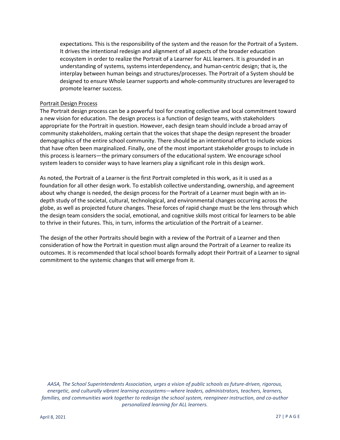expectations. This is the responsibility of the system and the reason for the Portrait of a System. It drives the intentional redesign and alignment of all aspects of the broader education ecosystem in order to realize the Portrait of a Learner for ALL learners. It is grounded in an understanding of systems, systems interdependency, and human-centric design; that is, the interplay between human beings and structures/processes. The Portrait of a System should be designed to ensure Whole Learner supports and whole-community structures are leveraged to promote learner success.

#### Portrait Design Process

The Portrait design process can be a powerful tool for creating collective and local commitment toward a new vision for education. The design process is a function of design teams, with stakeholders appropriate for the Portrait in question. However, each design team should include a broad array of community stakeholders, making certain that the voices that shape the design represent the broader demographics of the entire school community. There should be an intentional effort to include voices that have often been marginalized. Finally, one of the most important stakeholder groups to include in this process is learners—the primary consumers of the educational system. We encourage school system leaders to consider ways to have learners play a significant role in this design work.

As noted, the Portrait of a Learner is the first Portrait completed in this work, as it is used as a foundation for all other design work. To establish collective understanding, ownership, and agreement about why change is needed, the design process for the Portrait of a Learner must begin with an indepth study of the societal, cultural, technological, and environmental changes occurring across the globe, as well as projected future changes. These forces of rapid change must be the lens through which the design team considers the social, emotional, and cognitive skills most critical for learners to be able to thrive in their futures. This, in turn, informs the articulation of the Portrait of a Learner.

The design of the other Portraits should begin with a review of the Portrait of a Learner and then consideration of how the Portrait in question must align around the Portrait of a Learner to realize its outcomes. It is recommended that local school boards formally adopt their Portrait of a Learner to signal commitment to the systemic changes that will emerge from it.